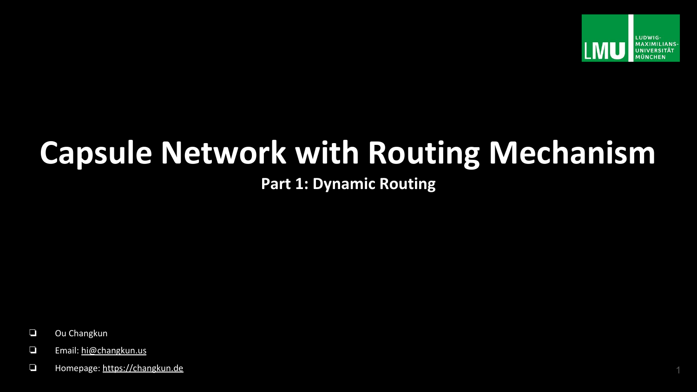

# **Capsule Network with Routing Mechanism**

**Part 1: Dynamic Routing**

- ❏ Ou Changkun
- ❏ Email: [hi@changkun.us](mailto:hi@changkun.us)
- ❏ Homepage: <https://changkun.de> 1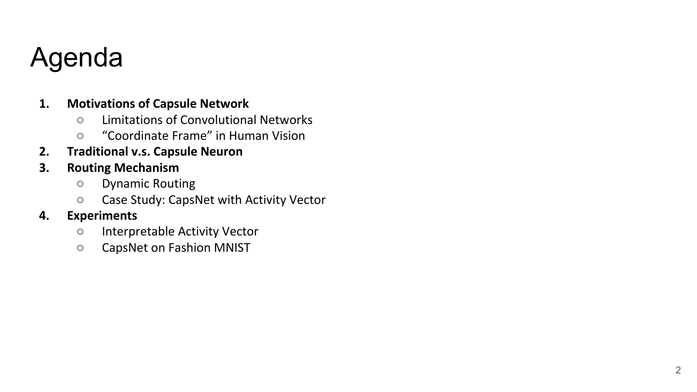#### Agenda

#### **1. Motivations of Capsule Network**

- Limitations of Convolutional Networks
- "Coordinate Frame" in Human Vision
- **2. Traditional v.s. Capsule Neuron**
- **3. Routing Mechanism**
	- Dynamic Routing
	- Case Study: CapsNet with Activity Vector

#### **4. Experiments**

- Interpretable Activity Vector
- CapsNet on Fashion MNIST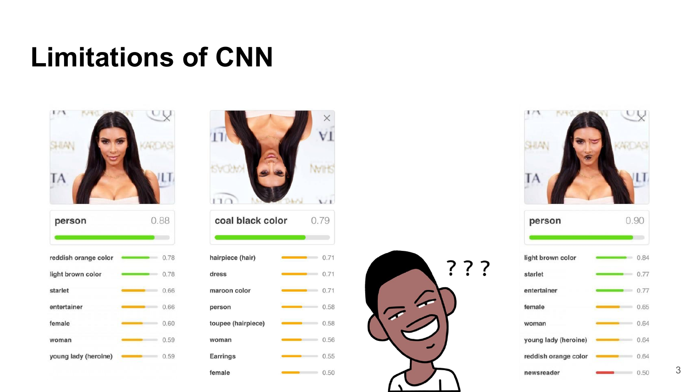### **Limitations of CNN**

| person               |  | 0.88 |  |
|----------------------|--|------|--|
|                      |  |      |  |
| reddish orange color |  | 0.78 |  |
| light brown color    |  | 0.78 |  |
| starlet              |  | 0.66 |  |
| entertainer          |  | 0.66 |  |
| female               |  | 0.60 |  |
| woman                |  | 0.59 |  |
| young lady (heroine) |  | 0.59 |  |

| coal black color   |  | 0.79        |
|--------------------|--|-------------|
|                    |  |             |
| hairpiece (hair)   |  | 0.71        |
| dress              |  | 0.71        |
| maroon color       |  | 0.71        |
| person             |  | 0.58        |
| toupee (hairpiece) |  | 0.58        |
| woman              |  | 0.56        |
| Earrings           |  | 0.55        |
| female             |  | $\sim$ 0.50 |



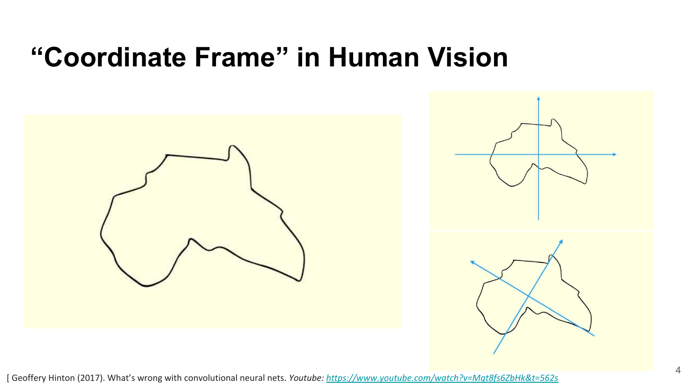#### **"Coordinate Frame" in Human Vision**



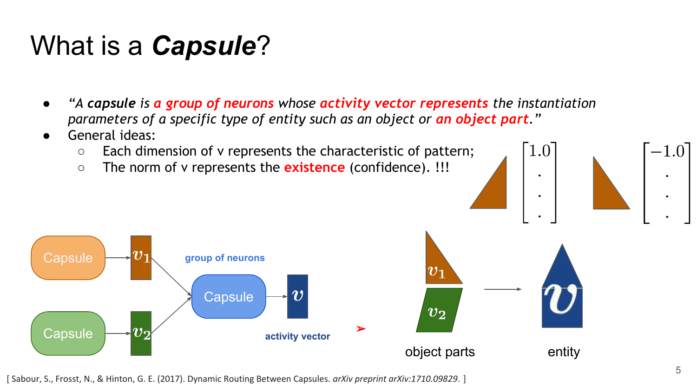### What is a *Capsule*?

- *● "A capsule is a group of neurons whose activity vector represents the instantiation parameters of a specific type of entity such as an object or an object part."*
- General ideas:
	- Each dimension of v represents the characteristic of pattern;
	- The norm of v represents the **existence** (confidence). !!!



[ Sabour, S., Frosst, N., & Hinton, G. E. (2017). Dynamic Routing Between Capsules. *arXiv preprint arXiv:1710.09829*. ]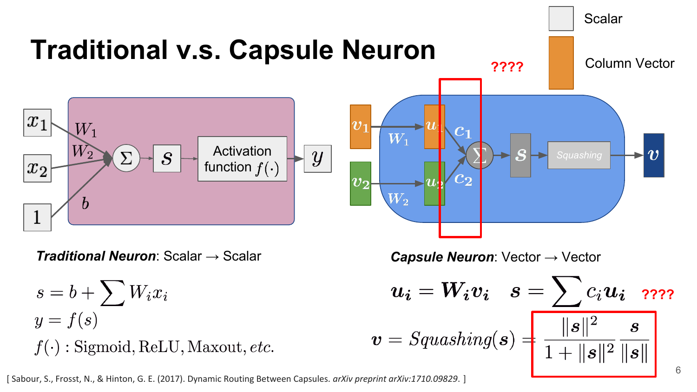

[ Sabour, S., Frosst, N., & Hinton, G. E. (2017). Dynamic Routing Between Capsules. *arXiv preprint arXiv:1710.09829*. ]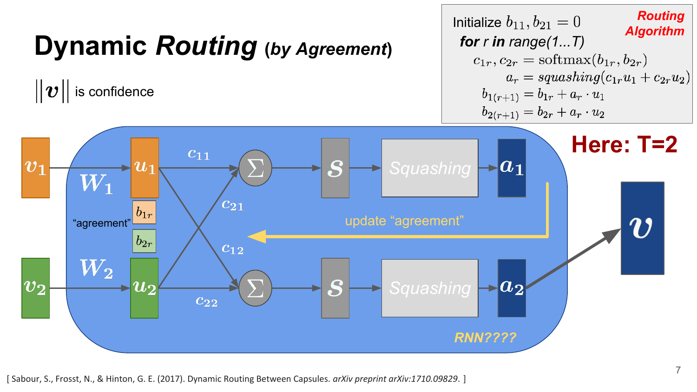# **Dynamic** *Routing* (by Agreement)

 $||\boldsymbol{v}||$  is confidence

```
Routing
Initialize b_{11}, b_{21} = 0Algorithm
 for r in range(1...T)c_{1r}, c_{2r} = \text{softmax}(b_{1r}, b_{2r})a_r = squashing(c_{1r}u_1 + c_{2r}u_2)b_{1(r+1)} = b_{1r} + a_r \cdot u_1b_{2(r+1)} = b_{2r} + a_r \cdot u_2
```
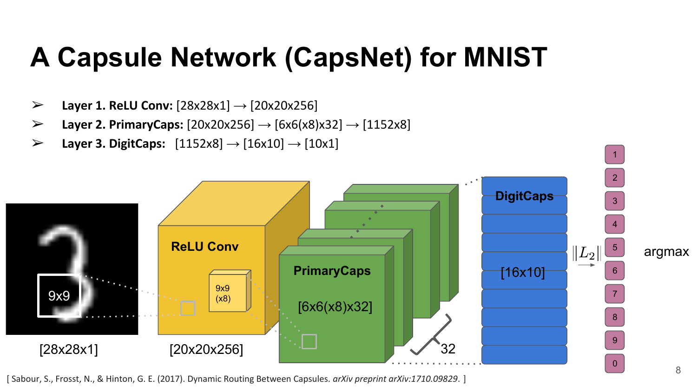## **A Capsule Network (CapsNet) for MNIST**

- ➢ **Layer 1. ReLU Conv:** [28x28x1] → [20x20x256]
- ➢ **Layer 2. PrimaryCaps:** [20x20x256] → [6x6(x8)x32] → [1152x8]
- ➢ **Layer 3. DigitCaps:** [1152x8] → [16x10] → [10x1]



[ Sabour, S., Frosst, N., & Hinton, G. E. (2017). Dynamic Routing Between Capsules. *arXiv preprint arXiv:1710.09829*. ]

1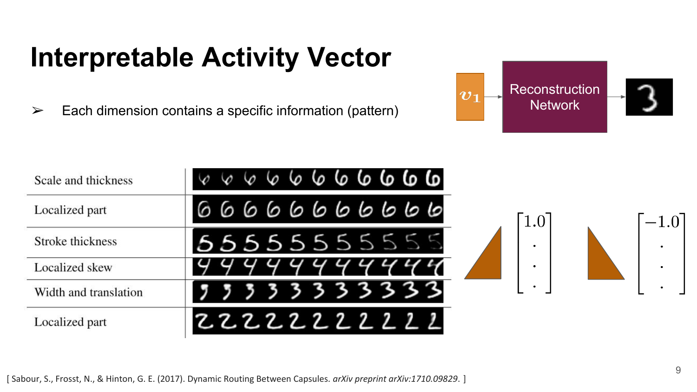## **Interpretable Activity Vector**

 $\triangleright$  Each dimension contains a specific information (pattern)



| Scale and thickness   | 66666666                                          |           |           |
|-----------------------|---------------------------------------------------|-----------|-----------|
| Localized part        | 0000000000                                        | 1.0       | $-1.0$    |
| Stroke thickness      | 5555555555                                        | $\bullet$ | $\bullet$ |
| Localized skew        |                                                   |           |           |
| Width and translation | 333333<br>$\overline{\mathbf{3}}$<br>$\mathbf{z}$ | $\bullet$ | $\bullet$ |
| Localized part        | 22222222222                                       |           |           |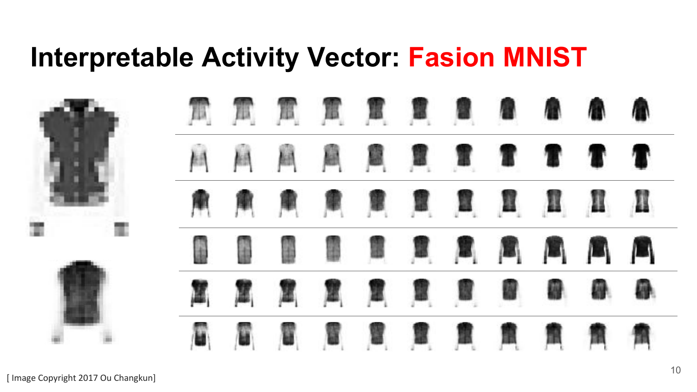#### **Interpretable Activity Vector: Fasion MNIST**



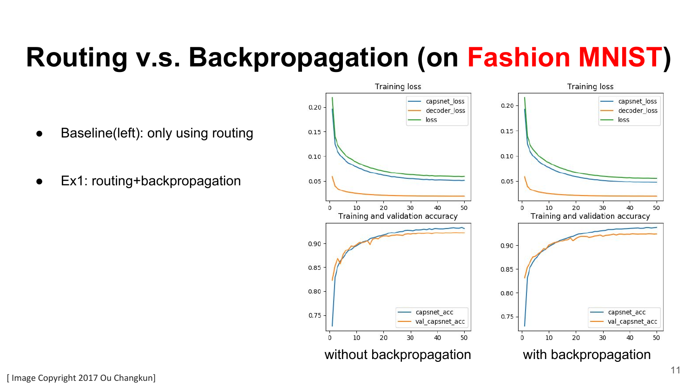# **Routing v.s. Backpropagation (on Fashion MNIST)**

- Baseline(left): only using routing
- Ex1: routing+backpropagation

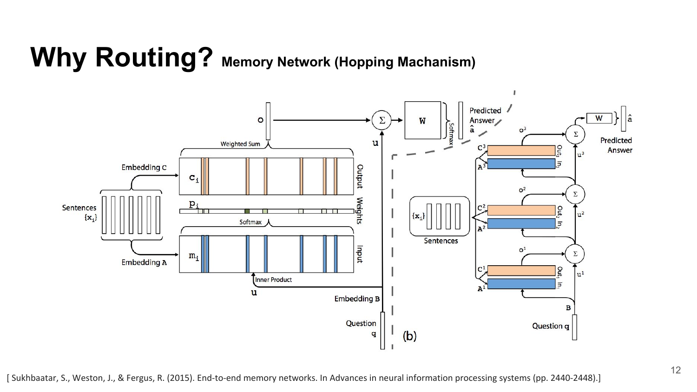# **Why Routing? Memory Network (Hopping Machanism)**

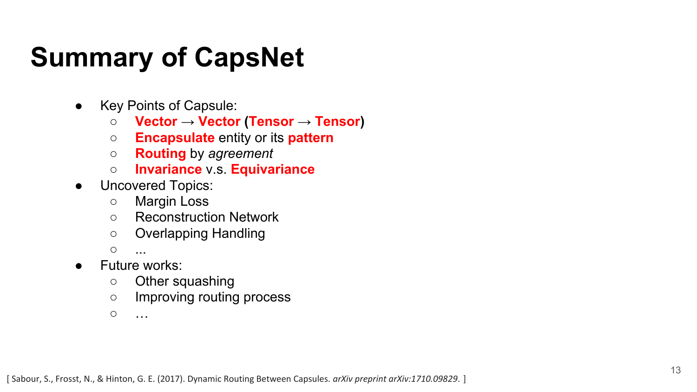### **Summary of CapsNet**

- Key Points of Capsule:
	- **Vector** → **Vector (Tensor** → **Tensor)**
	- **Encapsulate** entity or its **pattern**
	- **Routing** by *agreement*
	- **Invariance** v.s. **Equivariance**
- Uncovered Topics:
	- Margin Loss
	- Reconstruction Network
	- Overlapping Handling

○ ...

- Future works:
	- Other squashing
	- Improving routing process

 $\circ$  …